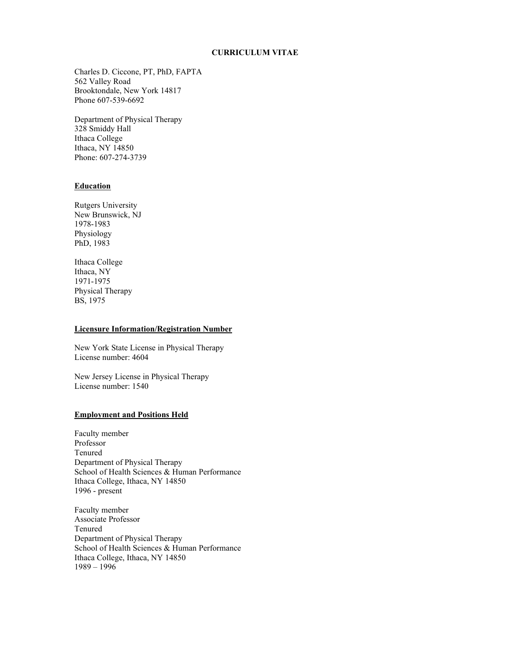## **CURRICULUM VITAE**

Charles D. Ciccone, PT, PhD, FAPTA 562 Valley Road Brooktondale, New York 14817 Phone 607-539-6692

Department of Physical Therapy 328 Smiddy Hall Ithaca College Ithaca, NY 14850 Phone: 607-274-3739

# **Education**

Rutgers University New Brunswick, NJ 1978-1983 Physiology PhD, 1983

Ithaca College Ithaca, NY 1971-1975 Physical Therapy BS, 1975

## **Licensure Information/Registration Number**

New York State License in Physical Therapy License number: 4604

New Jersey License in Physical Therapy License number: 1540

# **Employment and Positions Held**

Faculty member Professor Tenured Department of Physical Therapy School of Health Sciences & Human Performance Ithaca College, Ithaca, NY 14850 1996 - present

Faculty member Associate Professor Tenured Department of Physical Therapy School of Health Sciences & Human Performance Ithaca College, Ithaca, NY 14850 1989 – 1996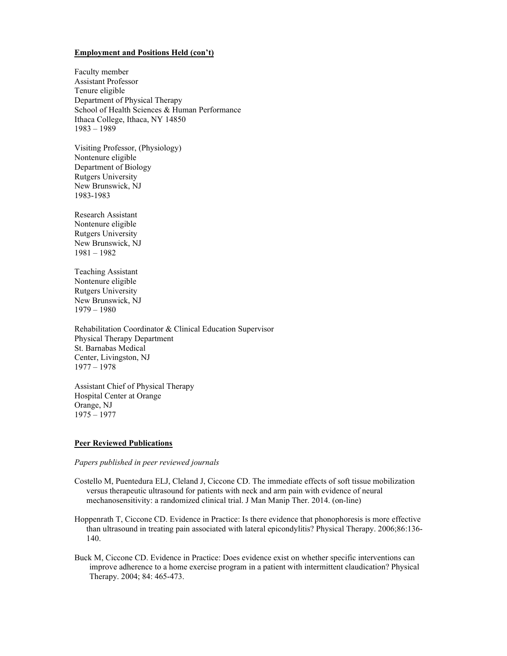## **Employment and Positions Held (con't)**

Faculty member Assistant Professor Tenure eligible Department of Physical Therapy School of Health Sciences & Human Performance Ithaca College, Ithaca, NY 14850 1983 – 1989

Visiting Professor, (Physiology) Nontenure eligible Department of Biology Rutgers University New Brunswick, NJ 1983-1983

Research Assistant Nontenure eligible Rutgers University New Brunswick, NJ 1981 – 1982

Teaching Assistant Nontenure eligible Rutgers University New Brunswick, NJ 1979 – 1980

Rehabilitation Coordinator & Clinical Education Supervisor Physical Therapy Department St. Barnabas Medical Center, Livingston, NJ 1977 – 1978

Assistant Chief of Physical Therapy Hospital Center at Orange Orange, NJ 1975 – 1977

## **Peer Reviewed Publications**

# *Papers published in peer reviewed journals*

- Costello M, Puentedura ELJ, Cleland J, Ciccone CD. The immediate effects of soft tissue mobilization versus therapeutic ultrasound for patients with neck and arm pain with evidence of neural mechanosensitivity: a randomized clinical trial. J Man Manip Ther. 2014. (on-line)
- Hoppenrath T, Ciccone CD. Evidence in Practice: Is there evidence that phonophoresis is more effective than ultrasound in treating pain associated with lateral epicondylitis? Physical Therapy. 2006;86:136- 140.
- Buck M, Ciccone CD. Evidence in Practice: Does evidence exist on whether specific interventions can improve adherence to a home exercise program in a patient with intermittent claudication? Physical Therapy. 2004; 84: 465-473.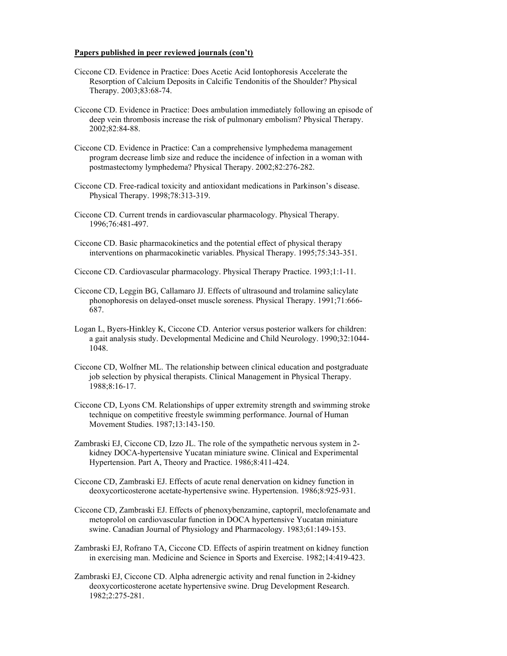#### **Papers published in peer reviewed journals (con't)**

- Ciccone CD. Evidence in Practice: Does Acetic Acid Iontophoresis Accelerate the Resorption of Calcium Deposits in Calcific Tendonitis of the Shoulder? Physical Therapy. 2003;83:68-74.
- Ciccone CD. Evidence in Practice: Does ambulation immediately following an episode of deep vein thrombosis increase the risk of pulmonary embolism? Physical Therapy. 2002;82:84-88.
- Ciccone CD. Evidence in Practice: Can a comprehensive lymphedema management program decrease limb size and reduce the incidence of infection in a woman with postmastectomy lymphedema? Physical Therapy. 2002;82:276-282.
- Ciccone CD. Free-radical toxicity and antioxidant medications in Parkinson's disease. Physical Therapy. 1998;78:313-319.
- Ciccone CD. Current trends in cardiovascular pharmacology. Physical Therapy. 1996;76:481-497.
- Ciccone CD. Basic pharmacokinetics and the potential effect of physical therapy interventions on pharmacokinetic variables. Physical Therapy. 1995;75:343-351.
- Ciccone CD. Cardiovascular pharmacology. Physical Therapy Practice. 1993;1:1-11.
- Ciccone CD, Leggin BG, Callamaro JJ. Effects of ultrasound and trolamine salicylate phonophoresis on delayed-onset muscle soreness. Physical Therapy. 1991;71:666- 687.
- Logan L, Byers-Hinkley K, Ciccone CD. Anterior versus posterior walkers for children: a gait analysis study. Developmental Medicine and Child Neurology. 1990;32:1044- 1048.
- Ciccone CD, Wolfner ML. The relationship between clinical education and postgraduate job selection by physical therapists. Clinical Management in Physical Therapy. 1988;8:16-17.
- Ciccone CD, Lyons CM. Relationships of upper extremity strength and swimming stroke technique on competitive freestyle swimming performance. Journal of Human Movement Studies. 1987;13:143-150.
- Zambraski EJ, Ciccone CD, Izzo JL. The role of the sympathetic nervous system in 2 kidney DOCA-hypertensive Yucatan miniature swine. Clinical and Experimental Hypertension. Part A, Theory and Practice. 1986;8:411-424.
- Ciccone CD, Zambraski EJ. Effects of acute renal denervation on kidney function in deoxycorticosterone acetate-hypertensive swine. Hypertension. 1986;8:925-931.
- Ciccone CD, Zambraski EJ. Effects of phenoxybenzamine, captopril, meclofenamate and metoprolol on cardiovascular function in DOCA hypertensive Yucatan miniature swine. Canadian Journal of Physiology and Pharmacology. 1983;61:149-153.
- Zambraski EJ, Rofrano TA, Ciccone CD. Effects of aspirin treatment on kidney function in exercising man. Medicine and Science in Sports and Exercise. 1982;14:419-423.
- Zambraski EJ, Ciccone CD. Alpha adrenergic activity and renal function in 2-kidney deoxycorticosterone acetate hypertensive swine. Drug Development Research. 1982;2:275-281.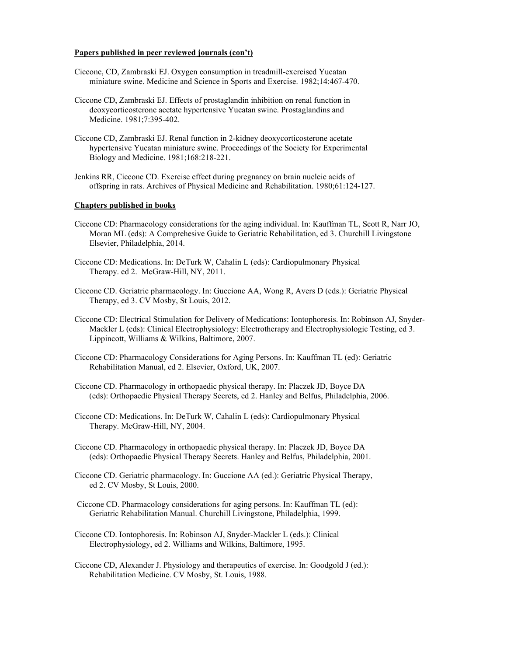#### **Papers published in peer reviewed journals (con't)**

- Ciccone, CD, Zambraski EJ. Oxygen consumption in treadmill-exercised Yucatan miniature swine. Medicine and Science in Sports and Exercise. 1982;14:467-470.
- Ciccone CD, Zambraski EJ. Effects of prostaglandin inhibition on renal function in deoxycorticosterone acetate hypertensive Yucatan swine. Prostaglandins and Medicine. 1981;7:395-402.
- Ciccone CD, Zambraski EJ. Renal function in 2-kidney deoxycorticosterone acetate hypertensive Yucatan miniature swine. Proceedings of the Society for Experimental Biology and Medicine. 1981;168:218-221.
- Jenkins RR, Ciccone CD. Exercise effect during pregnancy on brain nucleic acids of offspring in rats. Archives of Physical Medicine and Rehabilitation. 1980;61:124-127.

## **Chapters published in books**

- Ciccone CD: Pharmacology considerations for the aging individual. In: Kauffman TL, Scott R, Narr JO, Moran ML (eds): A Comprehesive Guide to Geriatric Rehabilitation, ed 3. Churchill Livingstone Elsevier, Philadelphia, 2014.
- Ciccone CD: Medications. In: DeTurk W, Cahalin L (eds): Cardiopulmonary Physical Therapy. ed 2. McGraw-Hill, NY, 2011.
- Ciccone CD. Geriatric pharmacology. In: Guccione AA, Wong R, Avers D (eds.): Geriatric Physical Therapy, ed 3. CV Mosby, St Louis, 2012.
- Ciccone CD: Electrical Stimulation for Delivery of Medications: Iontophoresis. In: Robinson AJ, Snyder-Mackler L (eds): Clinical Electrophysiology: Electrotherapy and Electrophysiologic Testing, ed 3. Lippincott, Williams & Wilkins, Baltimore, 2007.
- Ciccone CD: Pharmacology Considerations for Aging Persons. In: Kauffman TL (ed): Geriatric Rehabilitation Manual, ed 2. Elsevier, Oxford, UK, 2007.
- Ciccone CD. Pharmacology in orthopaedic physical therapy. In: Placzek JD, Boyce DA (eds): Orthopaedic Physical Therapy Secrets, ed 2. Hanley and Belfus, Philadelphia, 2006.
- Ciccone CD: Medications. In: DeTurk W, Cahalin L (eds): Cardiopulmonary Physical Therapy. McGraw-Hill, NY, 2004.
- Ciccone CD. Pharmacology in orthopaedic physical therapy. In: Placzek JD, Boyce DA (eds): Orthopaedic Physical Therapy Secrets. Hanley and Belfus, Philadelphia, 2001.
- Ciccone CD. Geriatric pharmacology. In: Guccione AA (ed.): Geriatric Physical Therapy, ed 2. CV Mosby, St Louis, 2000.
- Ciccone CD. Pharmacology considerations for aging persons. In: Kauffman TL (ed): Geriatric Rehabilitation Manual. Churchill Livingstone, Philadelphia, 1999.
- Ciccone CD. Iontophoresis. In: Robinson AJ, Snyder-Mackler L (eds.): Clinical Electrophysiology, ed 2. Williams and Wilkins, Baltimore, 1995.
- Ciccone CD, Alexander J. Physiology and therapeutics of exercise. In: Goodgold J (ed.): Rehabilitation Medicine. CV Mosby, St. Louis, 1988.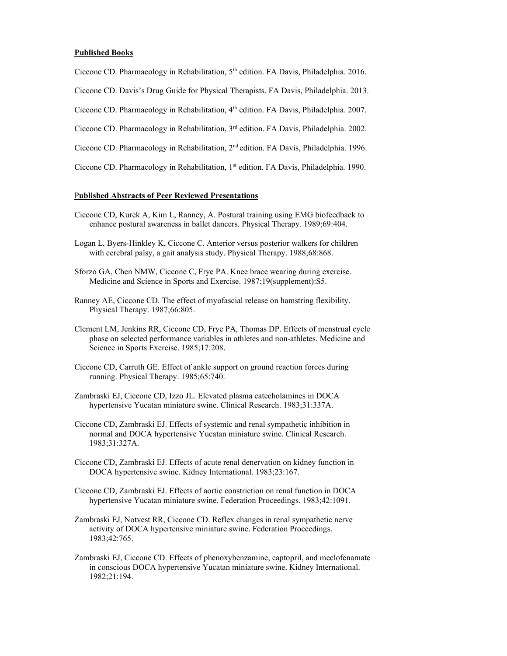## **Published Books**

Ciccone CD. Pharmacology in Rehabilitation, 5<sup>th</sup> edition. FA Davis, Philadelphia. 2016.

Ciccone CD. Davis's Drug Guide for Physical Therapists. FA Davis, Philadelphia. 2013.

Ciccone CD. Pharmacology in Rehabilitation, 4<sup>th</sup> edition. FA Davis, Philadelphia. 2007.

Ciccone CD. Pharmacology in Rehabilitation, 3rd edition. FA Davis, Philadelphia. 2002.

Ciccone CD. Pharmacology in Rehabilitation, 2nd edition. FA Davis, Philadelphia. 1996.

Ciccone CD. Pharmacology in Rehabilitation, 1<sup>st</sup> edition. FA Davis, Philadelphia. 1990.

## P**ublished Abstracts of Peer Reviewed Presentations**

- Ciccone CD, Kurek A, Kim L, Ranney, A. Postural training using EMG biofeedback to enhance postural awareness in ballet dancers. Physical Therapy. 1989;69:404.
- Logan L, Byers-Hinkley K, Ciccone C. Anterior versus posterior walkers for children with cerebral palsy, a gait analysis study. Physical Therapy. 1988;68:868.
- Sforzo GA, Chen NMW, Ciccone C, Frye PA. Knee brace wearing during exercise. Medicine and Science in Sports and Exercise. 1987;19(supplement):S5.
- Ranney AE, Ciccone CD. The effect of myofascial release on hamstring flexibility. Physical Therapy. 1987;66:805.
- Clement LM, Jenkins RR, Ciccone CD, Frye PA, Thomas DP. Effects of menstrual cycle phase on selected performance variables in athletes and non-athletes. Medicine and Science in Sports Exercise. 1985;17:208.
- Ciccone CD, Carruth GE. Effect of ankle support on ground reaction forces during running. Physical Therapy. 1985;65:740.
- Zambraski EJ, Ciccone CD, Izzo JL. Elevated plasma catecholamines in DOCA hypertensive Yucatan miniature swine. Clinical Research. 1983;31:337A.
- Ciccone CD, Zambraski EJ. Effects of systemic and renal sympathetic inhibition in normal and DOCA hypertensive Yucatan miniature swine. Clinical Research. 1983;31:327A.
- Ciccone CD, Zambraski EJ. Effects of acute renal denervation on kidney function in DOCA hypertensive swine. Kidney International. 1983;23:167.
- Ciccone CD, Zambraski EJ. Effects of aortic constriction on renal function in DOCA hypertensive Yucatan miniature swine. Federation Proceedings. 1983;42:1091.
- Zambraski EJ, Notvest RR, Ciccone CD. Reflex changes in renal sympathetic nerve activity of DOCA hypertensive miniature swine. Federation Proceedings. 1983;42:765.
- Zambraski EJ, Ciccone CD. Effects of phenoxybenzamine, captopril, and meclofenamate in conscious DOCA hypertensive Yucatan miniature swine. Kidney International. 1982;21:194.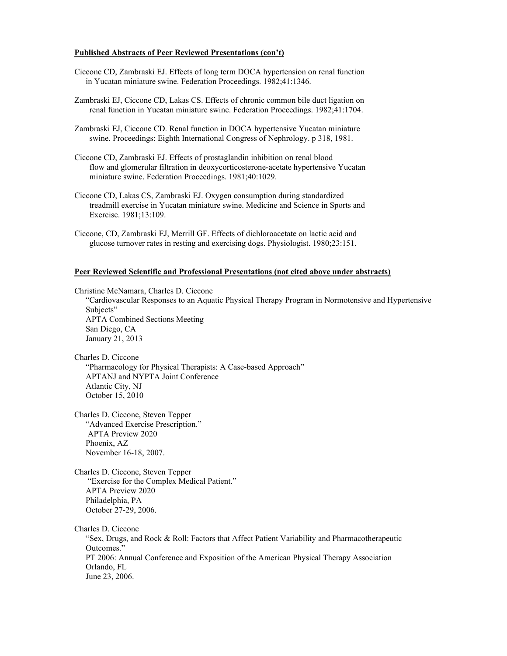#### **Published Abstracts of Peer Reviewed Presentations (con't)**

- Ciccone CD, Zambraski EJ. Effects of long term DOCA hypertension on renal function in Yucatan miniature swine. Federation Proceedings. 1982;41:1346.
- Zambraski EJ, Ciccone CD, Lakas CS. Effects of chronic common bile duct ligation on renal function in Yucatan miniature swine. Federation Proceedings. 1982;41:1704.
- Zambraski EJ, Ciccone CD. Renal function in DOCA hypertensive Yucatan miniature swine. Proceedings: Eighth International Congress of Nephrology. p 318, 1981.
- Ciccone CD, Zambraski EJ. Effects of prostaglandin inhibition on renal blood flow and glomerular filtration in deoxycorticosterone-acetate hypertensive Yucatan miniature swine. Federation Proceedings. 1981;40:1029.
- Ciccone CD, Lakas CS, Zambraski EJ. Oxygen consumption during standardized treadmill exercise in Yucatan miniature swine. Medicine and Science in Sports and Exercise. 1981;13:109.
- Ciccone, CD, Zambraski EJ, Merrill GF. Effects of dichloroacetate on lactic acid and glucose turnover rates in resting and exercising dogs. Physiologist. 1980;23:151.

#### **Peer Reviewed Scientific and Professional Presentations (not cited above under abstracts)**

Christine McNamara, Charles D. Ciccone

"Cardiovascular Responses to an Aquatic Physical Therapy Program in Normotensive and Hypertensive Subjects" APTA Combined Sections Meeting San Diego, CA

January 21, 2013

Charles D. Ciccone "Pharmacology for Physical Therapists: A Case-based Approach" APTANJ and NYPTA Joint Conference Atlantic City, NJ October 15, 2010

Charles D. Ciccone, Steven Tepper "Advanced Exercise Prescription." APTA Preview 2020 Phoenix, AZ November 16-18, 2007.

Charles D. Ciccone, Steven Tepper "Exercise for the Complex Medical Patient." APTA Preview 2020 Philadelphia, PA October 27-29, 2006.

Charles D. Ciccone

"Sex, Drugs, and Rock & Roll: Factors that Affect Patient Variability and Pharmacotherapeutic Outcomes." PT 2006: Annual Conference and Exposition of the American Physical Therapy Association Orlando, FL June 23, 2006.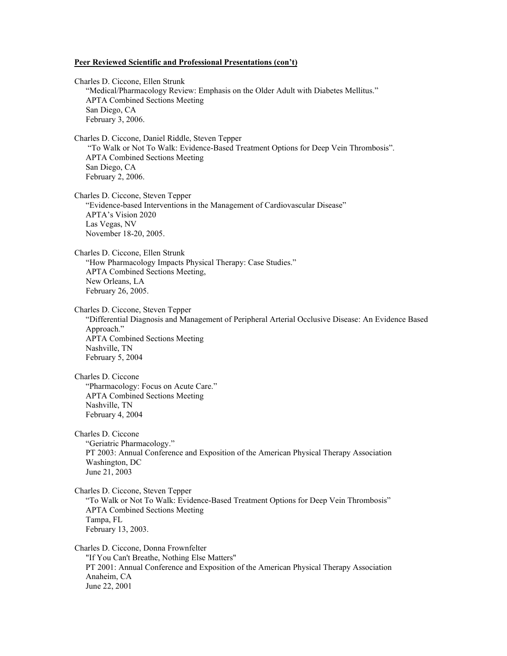#### **Peer Reviewed Scientific and Professional Presentations (con't)**

Charles D. Ciccone, Ellen Strunk "Medical/Pharmacology Review: Emphasis on the Older Adult with Diabetes Mellitus." APTA Combined Sections Meeting San Diego, CA February 3, 2006. Charles D. Ciccone, Daniel Riddle, Steven Tepper "To Walk or Not To Walk: Evidence-Based Treatment Options for Deep Vein Thrombosis". APTA Combined Sections Meeting San Diego, CA February 2, 2006. Charles D. Ciccone, Steven Tepper "Evidence-based Interventions in the Management of Cardiovascular Disease" APTA's Vision 2020 Las Vegas, NV November 18-20, 2005. Charles D. Ciccone, Ellen Strunk "How Pharmacology Impacts Physical Therapy: Case Studies." APTA Combined Sections Meeting, New Orleans, LA February 26, 2005. Charles D. Ciccone, Steven Tepper "Differential Diagnosis and Management of Peripheral Arterial Occlusive Disease: An Evidence Based Approach." APTA Combined Sections Meeting Nashville, TN February 5, 2004 Charles D. Ciccone "Pharmacology: Focus on Acute Care." APTA Combined Sections Meeting Nashville, TN February 4, 2004 Charles D. Ciccone "Geriatric Pharmacology." PT 2003: Annual Conference and Exposition of the American Physical Therapy Association Washington, DC June 21, 2003 Charles D. Ciccone, Steven Tepper "To Walk or Not To Walk: Evidence-Based Treatment Options for Deep Vein Thrombosis" APTA Combined Sections Meeting Tampa, FL February 13, 2003. Charles D. Ciccone, Donna Frownfelter "If You Can't Breathe, Nothing Else Matters" PT 2001: Annual Conference and Exposition of the American Physical Therapy Association Anaheim, CA June 22, 2001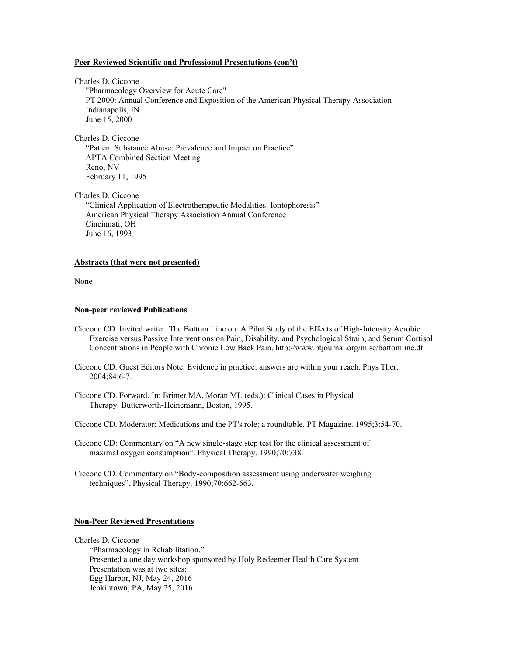#### **Peer Reviewed Scientific and Professional Presentations (con't)**

Charles D. Ciccone "Pharmacology Overview for Acute Care" PT 2000: Annual Conference and Exposition of the American Physical Therapy Association Indianapolis, IN June 15, 2000

Charles D. Ciccone "Patient Substance Abuse: Prevalence and Impact on Practice" APTA Combined Section Meeting Reno, NV February 11, 1995

Charles D. Ciccone "Clinical Application of Electrotherapeutic Modalities: Iontophoresis" American Physical Therapy Association Annual Conference Cincinnati, OH June 16, 1993

#### **Abstracts (that were not presented)**

None

#### **Non-peer reviewed Publications**

- Ciccone CD. Invited writer. The Bottom Line on: A Pilot Study of the Effects of High-Intensity Aerobic Exercise versus Passive Interventions on Pain, Disability, and Psychological Strain, and Serum Cortisol Concentrations in People with Chronic Low Back Pain. http://www.ptjournal.org/misc/bottomline.dtl
- Ciccone CD. Guest Editors Note: Evidence in practice: answers are within your reach. Phys Ther. 2004;84:6-7.
- Ciccone CD. Forward. In: Brimer MA, Moran ML (eds.): Clinical Cases in Physical Therapy. Butterworth-Heinemann, Boston, 1995.

Ciccone CD. Moderator: Medications and the PT's role: a roundtable. PT Magazine. 1995;3:54-70.

- Ciccone CD: Commentary on "A new single-stage step test for the clinical assessment of maximal oxygen consumption". Physical Therapy. 1990;70:738.
- Ciccone CD. Commentary on "Body-composition assessment using underwater weighing techniques". Physical Therapy. 1990;70:662-663.

## **Non-Peer Reviewed Presentations**

#### Charles D. Ciccone

"Pharmacology in Rehabilitation." Presented a one day workshop sponsored by Holy Redeemer Health Care System Presentation was at two sites: Egg Harbor, NJ, May 24, 2016 Jenkintown, PA, May 25, 2016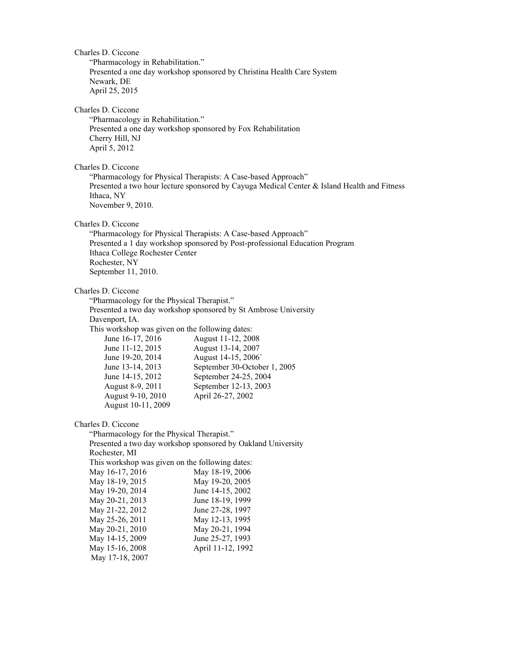Charles D. Ciccone "Pharmacology in Rehabilitation." Presented a one day workshop sponsored by Christina Health Care System Newark, DE April 25, 2015 Charles D. Ciccone "Pharmacology in Rehabilitation." Presented a one day workshop sponsored by Fox Rehabilitation Cherry Hill, NJ April 5, 2012 Charles D. Ciccone "Pharmacology for Physical Therapists: A Case-based Approach" Presented a two hour lecture sponsored by Cayuga Medical Center & Island Health and Fitness Ithaca, NY November 9, 2010. Charles D. Ciccone "Pharmacology for Physical Therapists: A Case-based Approach" Presented a 1 day workshop sponsored by Post-professional Education Program Ithaca College Rochester Center Rochester, NY September 11, 2010. Charles D. Ciccone "Pharmacology for the Physical Therapist." Presented a two day workshop sponsored by St Ambrose University Davenport, IA. This workshop was given on the following dates: June 16-17, 2016 August 11-12, 2008 June 11-12, 2015 August 13-14, 2007 June 19-20, 2014 August 14-15, 2006` June 13-14, 2013 September 30-October 1, 2005 June 14-15, 2012 September 24-25, 2004 August 8-9, 2011 September 12-13, 2003 August 9-10, 2010 April 26-27, 2002 August 10-11, 2009 Charles D. Ciccone "Pharmacology for the Physical Therapist." Presented a two day workshop sponsored by Oakland University Rochester, MI This workshop was given on the following dates: May 16-17, 2016 May 18-19, 2006 May 18-19, 2015 May 19-20, 2005 May 19-20, 2014 June 14-15, 2002 May 20-21, 2013 June 18-19, 1999<br>May 21-22, 2012 June 27-28, 1997 May 21-22, 2012 May 25-26, 2011 May 12-13, 1995 May 20-21, 2010 May 20-21, 1994<br>May 14-15, 2009 June 25-27, 1993 May 14-15, 2009 May 15-16, 2008 April 11-12, 1992

May 17-18, 2007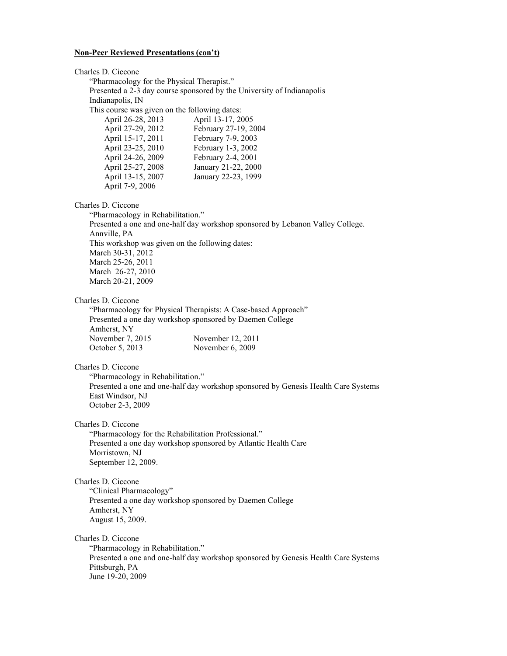Charles D. Ciccone "Pharmacology for the Physical Therapist." Presented a 2-3 day course sponsored by the University of Indianapolis Indianapolis, IN This course was given on the following dates: April 26-28, 2013 April 13-17, 2005 April 27-29, 2012 February 27-19, 2004 April 15-17, 2011 February 7-9, 2003 April 23-25, 2010 February 1-3, 2002 April 24-26, 2009 February 2-4, 2001 April 25-27, 2008 January 21-22, 2000 April 13-15, 2007 January 22-23, 1999 April 7-9, 2006 Charles D. Ciccone "Pharmacology in Rehabilitation." Presented a one and one-half day workshop sponsored by Lebanon Valley College. Annville, PA This workshop was given on the following dates: March 30-31, 2012 March 25-26, 2011 March 26-27, 2010 March 20-21, 2009 Charles D. Ciccone "Pharmacology for Physical Therapists: A Case-based Approach" Presented a one day workshop sponsored by Daemen College Amherst, NY November 7, 2015 November 12, 2011 October 5, 2013 November 6, 2009 Charles D. Ciccone "Pharmacology in Rehabilitation." Presented a one and one-half day workshop sponsored by Genesis Health Care Systems East Windsor, NJ October 2-3, 2009 Charles D. Ciccone "Pharmacology for the Rehabilitation Professional." Presented a one day workshop sponsored by Atlantic Health Care Morristown, NJ September 12, 2009. Charles D. Ciccone "Clinical Pharmacology" Presented a one day workshop sponsored by Daemen College Amherst, NY August 15, 2009. Charles D. Ciccone "Pharmacology in Rehabilitation." Presented a one and one-half day workshop sponsored by Genesis Health Care Systems Pittsburgh, PA June 19-20, 2009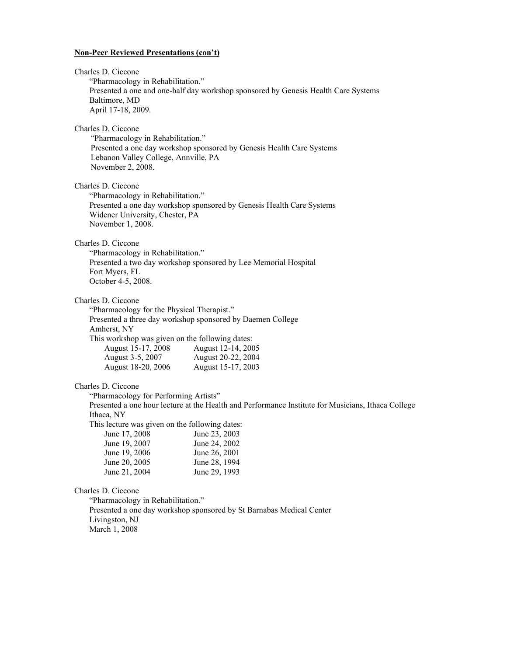| Charles D. Ciccone<br>"Pharmacology in Rehabilitation."<br>Baltimore, MD<br>April 17-18, 2009.                                                                                                                   | Presented a one and one-half day workshop sponsored by Genesis Health Care Systems                                                                                                      |
|------------------------------------------------------------------------------------------------------------------------------------------------------------------------------------------------------------------|-----------------------------------------------------------------------------------------------------------------------------------------------------------------------------------------|
| Charles D. Ciccone<br>"Pharmacology in Rehabilitation."<br>Lebanon Valley College, Annville, PA<br>November 2, 2008.                                                                                             | Presented a one day workshop sponsored by Genesis Health Care Systems                                                                                                                   |
| Charles D. Ciccone<br>"Pharmacology in Rehabilitation."<br>Widener University, Chester, PA<br>November 1, 2008.                                                                                                  | Presented a one day workshop sponsored by Genesis Health Care Systems                                                                                                                   |
| Charles D. Ciccone<br>"Pharmacology in Rehabilitation."<br>Fort Myers, FL<br>October 4-5, 2008.                                                                                                                  | Presented a two day workshop sponsored by Lee Memorial Hospital                                                                                                                         |
| Charles D. Ciccone<br>"Pharmacology for the Physical Therapist."<br>Amherst, NY<br>This workshop was given on the following dates:<br>August 15-17, 2008<br>August 3-5, 2007<br>August 18-20, 2006               | Presented a three day workshop sponsored by Daemen College<br>August 12-14, 2005<br>August 20-22, 2004<br>August 15-17, 2003                                                            |
| Charles D. Ciccone<br>"Pharmacology for Performing Artists"<br>Ithaca, NY<br>This lecture was given on the following dates:<br>June 17, 2008<br>June 19, 2007<br>June 19, 2006<br>June 20, 2005<br>June 21, 2004 | Presented a one hour lecture at the Health and Performance Institute for Musicians, Ithaca College<br>June 23, 2003<br>June 24, 2002<br>June 26, 2001<br>June 28, 1994<br>June 29, 1993 |
| Charles D. Ciccone<br>"Pharmacology in Rehabilitation."<br>Livingston, NJ                                                                                                                                        | Presented a one day workshop sponsored by St Barnabas Medical Center                                                                                                                    |

March 1, 2008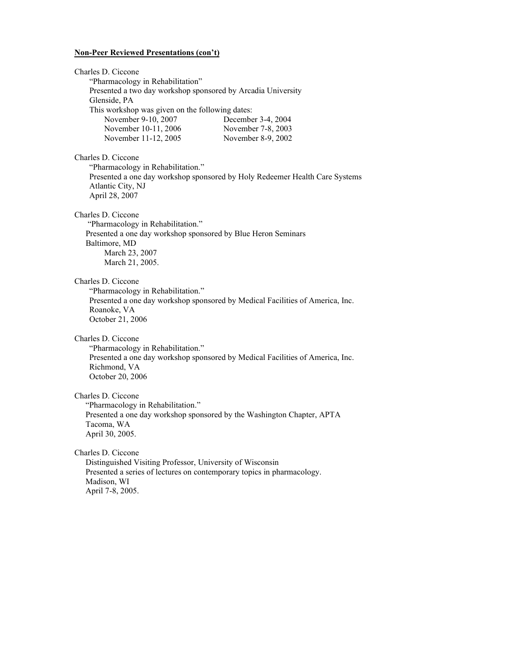| Charles D. Ciccone<br>"Pharmacology in Rehabilitation"<br>Presented a two day workshop sponsored by Arcadia University<br>Glenside, PA<br>This workshop was given on the following dates:<br>November 9-10, 2007<br>December 3-4, 2004<br>November 10-11, 2006<br>November 7-8, 2003<br>November 11-12, 2005<br>November 8-9, 2002 |
|------------------------------------------------------------------------------------------------------------------------------------------------------------------------------------------------------------------------------------------------------------------------------------------------------------------------------------|
| Charles D. Ciccone<br>"Pharmacology in Rehabilitation."<br>Presented a one day workshop sponsored by Holy Redeemer Health Care Systems<br>Atlantic City, NJ<br>April 28, 2007                                                                                                                                                      |
| Charles D. Ciccone<br>"Pharmacology in Rehabilitation."<br>Presented a one day workshop sponsored by Blue Heron Seminars<br>Baltimore, MD<br>March 23, 2007<br>March 21, 2005.                                                                                                                                                     |
| Charles D. Ciccone<br>"Pharmacology in Rehabilitation."<br>Presented a one day workshop sponsored by Medical Facilities of America, Inc.<br>Roanoke, VA<br>October 21, 2006                                                                                                                                                        |
| Charles D. Ciccone<br>"Pharmacology in Rehabilitation."<br>Presented a one day workshop sponsored by Medical Facilities of America, Inc.<br>Richmond, VA<br>October 20, 2006                                                                                                                                                       |
| Charles D. Ciccone<br>"Pharmacology in Rehabilitation."<br>Presented a one day workshop sponsored by the Washington Chapter, APTA<br>Tacoma, WA<br>April 30, 2005.                                                                                                                                                                 |
| Charles D. Ciccone<br>Distinguished Visiting Professor, University of Wisconsin<br>Presented a series of lectures on contemporary topics in pharmacology.<br>Madison, WI<br>April 7-8, 2005.                                                                                                                                       |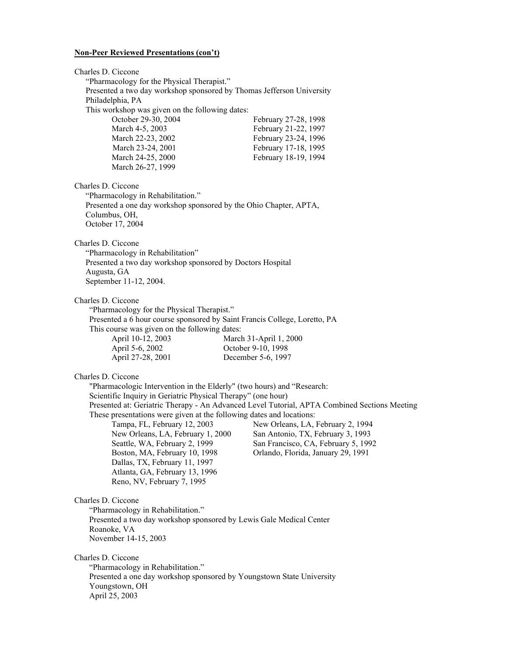Charles D. Ciccone "Pharmacology for the Physical Therapist." Presented a two day workshop sponsored by Thomas Jefferson University Philadelphia, PA This workshop was given on the following dates: October 29-30, 2004 February 27-28, 1998 March 4-5, 2003 **February 21-22, 1997** March 22-23, 2002 February 23-24, 1996 March 23-24, 2001 February 17-18, 1995 March 24-25, 2000 February 18-19, 1994 March 26-27, 1999 Charles D. Ciccone "Pharmacology in Rehabilitation." Presented a one day workshop sponsored by the Ohio Chapter, APTA, Columbus, OH, October 17, 2004 Charles D. Ciccone "Pharmacology in Rehabilitation" Presented a two day workshop sponsored by Doctors Hospital Augusta, GA September 11-12, 2004. Charles D. Ciccone "Pharmacology for the Physical Therapist." Presented a 6 hour course sponsored by Saint Francis College, Loretto, PA This course was given on the following dates: April 10-12, 2003 March 31-April 1, 2000 April 5-6, 2002 October 9-10, 1998 April 27-28, 2001 December 5-6, 1997 Charles D. Ciccone "Pharmacologic Intervention in the Elderly" (two hours) and "Research: Scientific Inquiry in Geriatric Physical Therapy" (one hour) Presented at: Geriatric Therapy - An Advanced Level Tutorial, APTA Combined Sections Meeting These presentations were given at the following dates and locations:<br>Tampa, FL, February 12, 2003 New Orleans, LA, New Orleans, LA, February 2, 1994 New Orleans, LA, February 1, 2000 San Antonio, TX, February 3, 1993 Seattle, WA, February 2, 1999 San Francisco, CA, February 5, 1992 Boston, MA, February 10, 1998 Orlando, Florida, January 29, 1991 Dallas, TX, February 11, 1997 Atlanta, GA, February 13, 1996 Reno, NV, February 7, 1995 Charles D. Ciccone "Pharmacology in Rehabilitation." Presented a two day workshop sponsored by Lewis Gale Medical Center Roanoke, VA November 14-15, 2003 Charles D. Ciccone "Pharmacology in Rehabilitation." Presented a one day workshop sponsored by Youngstown State University Youngstown, OH April 25, 2003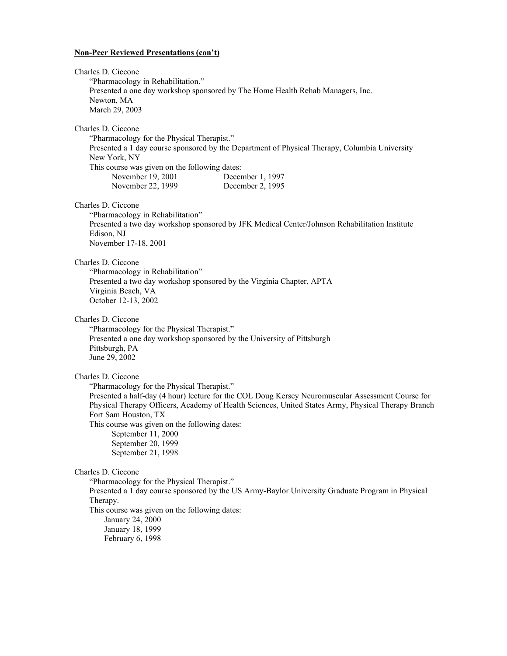| Charles D. Ciccone<br>"Pharmacology in Rehabilitation."<br>Newton, MA<br>March 29, 2003                                                                                                                     | Presented a one day workshop sponsored by The Home Health Rehab Managers, Inc.                                                                                                                          |
|-------------------------------------------------------------------------------------------------------------------------------------------------------------------------------------------------------------|---------------------------------------------------------------------------------------------------------------------------------------------------------------------------------------------------------|
| Charles D. Ciccone<br>"Pharmacology for the Physical Therapist."<br>New York, NY<br>This course was given on the following dates:<br>November 19, 2001<br>November 22, 1999                                 | Presented a 1 day course sponsored by the Department of Physical Therapy, Columbia University<br>December 1, 1997<br>December 2, 1995                                                                   |
| Charles D. Ciccone<br>"Pharmacology in Rehabilitation"<br>Edison, NJ<br>November 17-18, 2001                                                                                                                | Presented a two day workshop sponsored by JFK Medical Center/Johnson Rehabilitation Institute                                                                                                           |
| Charles D. Ciccone<br>"Pharmacology in Rehabilitation"<br>Virginia Beach, VA<br>October 12-13, 2002                                                                                                         | Presented a two day workshop sponsored by the Virginia Chapter, APTA                                                                                                                                    |
| Charles D. Ciccone<br>"Pharmacology for the Physical Therapist."<br>Pittsburgh, PA<br>June 29, 2002                                                                                                         | Presented a one day workshop sponsored by the University of Pittsburgh                                                                                                                                  |
| Charles D. Ciccone<br>"Pharmacology for the Physical Therapist."<br>Fort Sam Houston, TX<br>This course was given on the following dates:<br>September 11, 2000<br>September 20, 1999<br>September 21, 1998 | Presented a half-day (4 hour) lecture for the COL Doug Kersey Neuromuscular Assessment Course for<br>Physical Therapy Officers, Academy of Health Sciences, United States Army, Physical Therapy Branch |
| Charles D. Ciccone<br>"Pharmacology for the Physical Therapist."<br>Therapy.<br>This course was given on the following dates:<br>January 24, 2000<br>January 18, 1999<br>February 6, 1998                   | Presented a 1 day course sponsored by the US Army-Baylor University Graduate Program in Physical                                                                                                        |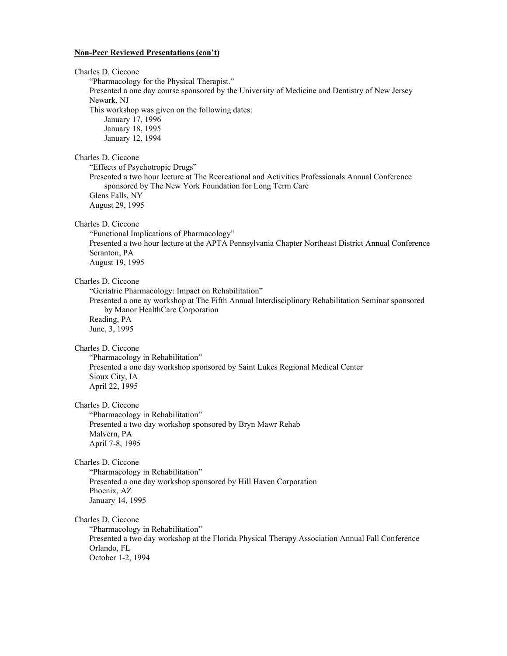Charles D. Ciccone "Pharmacology for the Physical Therapist." Presented a one day course sponsored by the University of Medicine and Dentistry of New Jersey Newark, NJ This workshop was given on the following dates: January 17, 1996 January 18, 1995 January 12, 1994 Charles D. Ciccone "Effects of Psychotropic Drugs" Presented a two hour lecture at The Recreational and Activities Professionals Annual Conference sponsored by The New York Foundation for Long Term Care Glens Falls, NY August 29, 1995 Charles D. Ciccone "Functional Implications of Pharmacology" Presented a two hour lecture at the APTA Pennsylvania Chapter Northeast District Annual Conference Scranton, PA August 19, 1995 Charles D. Ciccone "Geriatric Pharmacology: Impact on Rehabilitation" Presented a one ay workshop at The Fifth Annual Interdisciplinary Rehabilitation Seminar sponsored by Manor HealthCare Corporation Reading, PA June, 3, 1995 Charles D. Ciccone "Pharmacology in Rehabilitation" Presented a one day workshop sponsored by Saint Lukes Regional Medical Center Sioux City, IA April 22, 1995 Charles D. Ciccone "Pharmacology in Rehabilitation" Presented a two day workshop sponsored by Bryn Mawr Rehab Malvern, PA April 7-8, 1995 Charles D. Ciccone "Pharmacology in Rehabilitation" Presented a one day workshop sponsored by Hill Haven Corporation Phoenix, AZ January 14, 1995 Charles D. Ciccone "Pharmacology in Rehabilitation" Presented a two day workshop at the Florida Physical Therapy Association Annual Fall Conference Orlando, FL October 1-2, 1994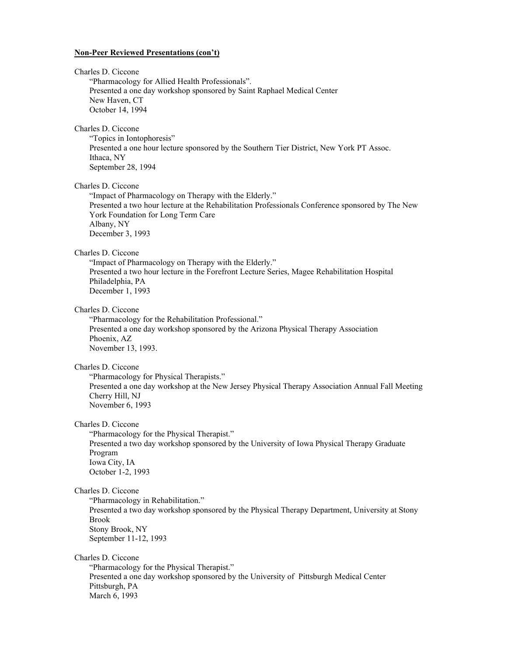| Charles D. Ciccone<br>"Pharmacology for Allied Health Professionals".<br>Presented a one day workshop sponsored by Saint Raphael Medical Center<br>New Haven, CT<br>October 14, 1994                                                                    |
|---------------------------------------------------------------------------------------------------------------------------------------------------------------------------------------------------------------------------------------------------------|
| Charles D. Ciccone<br>"Topics in Iontophoresis"<br>Presented a one hour lecture sponsored by the Southern Tier District, New York PT Assoc.<br>Ithaca, NY<br>September 28, 1994                                                                         |
| Charles D. Ciccone<br>"Impact of Pharmacology on Therapy with the Elderly."<br>Presented a two hour lecture at the Rehabilitation Professionals Conference sponsored by The New<br>York Foundation for Long Term Care<br>Albany, NY<br>December 3, 1993 |
| Charles D. Ciccone<br>"Impact of Pharmacology on Therapy with the Elderly."<br>Presented a two hour lecture in the Forefront Lecture Series, Magee Rehabilitation Hospital<br>Philadelphia, PA<br>December 1, 1993                                      |
| Charles D. Ciccone<br>"Pharmacology for the Rehabilitation Professional."<br>Presented a one day workshop sponsored by the Arizona Physical Therapy Association<br>Phoenix, AZ<br>November 13, 1993.                                                    |
| Charles D. Ciccone<br>"Pharmacology for Physical Therapists."<br>Presented a one day workshop at the New Jersey Physical Therapy Association Annual Fall Meeting<br>Cherry Hill, NJ<br>November 6, 1993                                                 |
| Charles D. Ciccone<br>"Pharmacology for the Physical Therapist."<br>Presented a two day workshop sponsored by the University of Iowa Physical Therapy Graduate<br>Program<br>Iowa City, IA<br>October 1-2, 1993                                         |
| Charles D. Ciccone<br>"Pharmacology in Rehabilitation."<br>Presented a two day workshop sponsored by the Physical Therapy Department, University at Stony<br><b>Brook</b><br>Stony Brook, NY<br>September 11-12, 1993                                   |
| Charles D. Ciccone<br>"Pharmacology for the Physical Therapist."<br>Presented a one day workshop sponsored by the University of Pittsburgh Medical Center<br>Pittsburgh, PA<br>March 6, 1993                                                            |
|                                                                                                                                                                                                                                                         |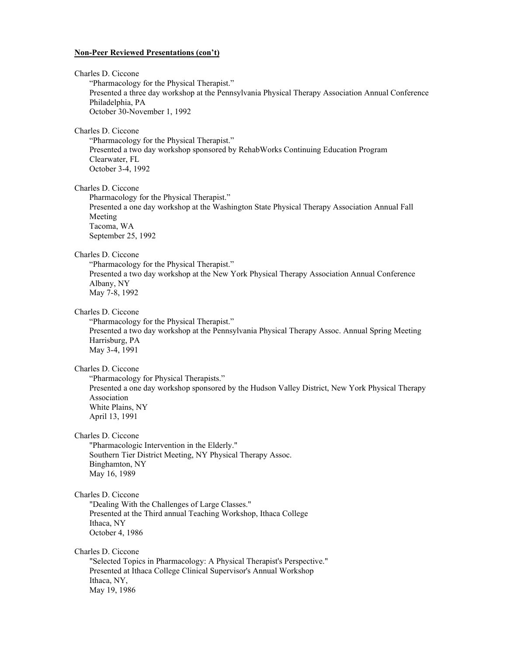| Charles D. Ciccone<br>"Pharmacology for the Physical Therapist."<br>Presented a three day workshop at the Pennsylvania Physical Therapy Association Annual Conference<br>Philadelphia, PA<br>October 30-November 1, 1992 |
|--------------------------------------------------------------------------------------------------------------------------------------------------------------------------------------------------------------------------|
| Charles D. Ciccone<br>"Pharmacology for the Physical Therapist."<br>Presented a two day workshop sponsored by RehabWorks Continuing Education Program<br>Clearwater, FL<br>October 3-4, 1992                             |
| Charles D. Ciccone<br>Pharmacology for the Physical Therapist."<br>Presented a one day workshop at the Washington State Physical Therapy Association Annual Fall<br>Meeting<br>Tacoma, WA<br>September 25, 1992          |
| Charles D. Ciccone<br>"Pharmacology for the Physical Therapist."<br>Presented a two day workshop at the New York Physical Therapy Association Annual Conference<br>Albany, NY<br>May 7-8, 1992                           |
| Charles D. Ciccone<br>"Pharmacology for the Physical Therapist."<br>Presented a two day workshop at the Pennsylvania Physical Therapy Assoc. Annual Spring Meeting<br>Harrisburg, PA<br>May 3-4, 1991                    |
| Charles D. Ciccone<br>"Pharmacology for Physical Therapists."<br>Presented a one day workshop sponsored by the Hudson Valley District, New York Physical Therapy<br>Association<br>White Plains, NY<br>April 13, 1991    |
| Charles D. Ciccone<br>"Pharmacologic Intervention in the Elderly."<br>Southern Tier District Meeting, NY Physical Therapy Assoc.<br>Binghamton, NY<br>May 16, 1989                                                       |
| Charles D. Ciccone<br>"Dealing With the Challenges of Large Classes."<br>Presented at the Third annual Teaching Workshop, Ithaca College<br>Ithaca, NY<br>October 4, 1986                                                |
| Charles D. Ciccone<br>"Selected Topics in Pharmacology: A Physical Therapist's Perspective."<br>Presented at Ithaca College Clinical Supervisor's Annual Workshop<br>Ithaca, NY,<br>May 19, 1986                         |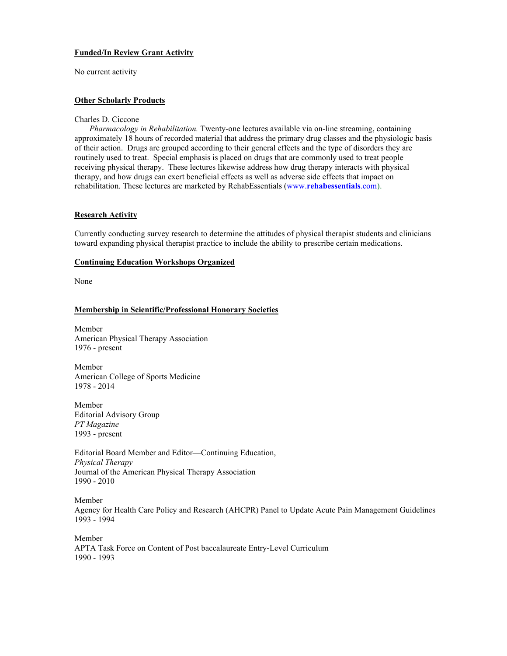# **Funded/In Review Grant Activity**

No current activity

# **Other Scholarly Products**

#### Charles D. Ciccone

*Pharmacology in Rehabilitation.* Twenty-one lectures available via on-line streaming, containing approximately 18 hours of recorded material that address the primary drug classes and the physiologic basis of their action. Drugs are grouped according to their general effects and the type of disorders they are routinely used to treat. Special emphasis is placed on drugs that are commonly used to treat people receiving physical therapy. These lectures likewise address how drug therapy interacts with physical therapy, and how drugs can exert beneficial effects as well as adverse side effects that impact on rehabilitation. These lectures are marketed by RehabEssentials (www.**[rehabessentials](http://www.rehabessentials.com/)**.com).

## **Research Activity**

Currently conducting survey research to determine the attitudes of physical therapist students and clinicians toward expanding physical therapist practice to include the ability to prescribe certain medications.

#### **Continuing Education Workshops Organized**

None

# **Membership in Scientific/Professional Honorary Societies**

Member American Physical Therapy Association 1976 - present

Member American College of Sports Medicine 1978 - 2014

Member Editorial Advisory Group *PT Magazine* 1993 - present

Editorial Board Member and Editor—Continuing Education, *Physical Therapy*  Journal of the American Physical Therapy Association 1990 - 2010

Member Agency for Health Care Policy and Research (AHCPR) Panel to Update Acute Pain Management Guidelines 1993 - 1994

Member APTA Task Force on Content of Post baccalaureate Entry-Level Curriculum 1990 - 1993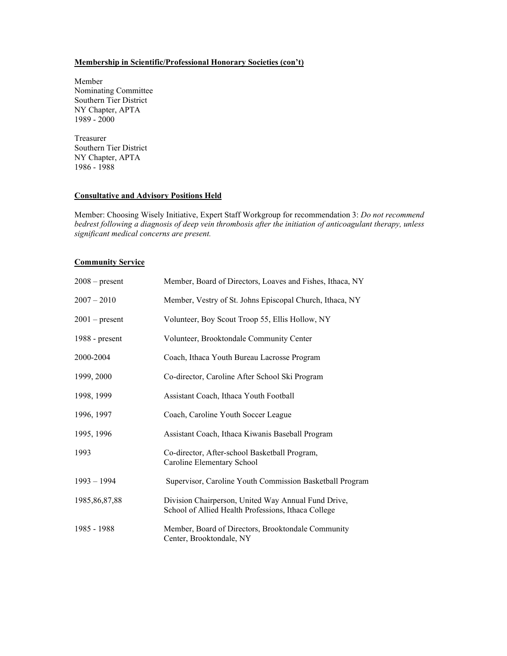# **Membership in Scientific/Professional Honorary Societies (con't)**

Member Nominating Committee Southern Tier District NY Chapter, APTA 1989 - 2000

Treasurer Southern Tier District NY Chapter, APTA 1986 - 1988

# **Consultative and Advisory Positions Held**

Member: Choosing Wisely Initiative, Expert Staff Workgroup for recommendation 3: *Do not recommend bedrest following a diagnosis of deep vein thrombosis after the initiation of anticoagulant therapy, unless significant medical concerns are present.*

## **Community Service**

| $2008 - present$ | Member, Board of Directors, Loaves and Fishes, Ithaca, NY                                                  |
|------------------|------------------------------------------------------------------------------------------------------------|
| $2007 - 2010$    | Member, Vestry of St. Johns Episcopal Church, Ithaca, NY                                                   |
| $2001$ – present | Volunteer, Boy Scout Troop 55, Ellis Hollow, NY                                                            |
| $1988$ - present | Volunteer, Brooktondale Community Center                                                                   |
| 2000-2004        | Coach, Ithaca Youth Bureau Lacrosse Program                                                                |
| 1999, 2000       | Co-director, Caroline After School Ski Program                                                             |
| 1998, 1999       | Assistant Coach, Ithaca Youth Football                                                                     |
| 1996, 1997       | Coach, Caroline Youth Soccer League                                                                        |
| 1995, 1996       | Assistant Coach, Ithaca Kiwanis Baseball Program                                                           |
| 1993             | Co-director, After-school Basketball Program,<br>Caroline Elementary School                                |
| $1993 - 1994$    | Supervisor, Caroline Youth Commission Basketball Program                                                   |
| 1985, 86, 87, 88 | Division Chairperson, United Way Annual Fund Drive,<br>School of Allied Health Professions, Ithaca College |
| 1985 - 1988      | Member, Board of Directors, Brooktondale Community<br>Center, Brooktondale, NY                             |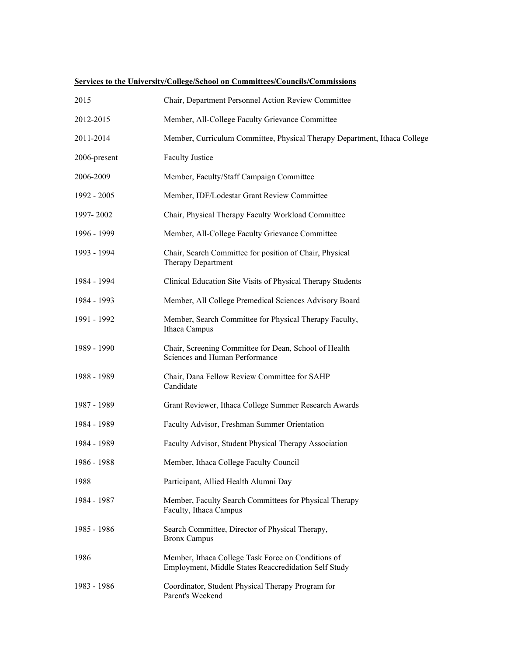| 2015         | Chair, Department Personnel Action Review Committee                                                        |
|--------------|------------------------------------------------------------------------------------------------------------|
| 2012-2015    | Member, All-College Faculty Grievance Committee                                                            |
| 2011-2014    | Member, Curriculum Committee, Physical Therapy Department, Ithaca College                                  |
| 2006-present | <b>Faculty Justice</b>                                                                                     |
| 2006-2009    | Member, Faculty/Staff Campaign Committee                                                                   |
| 1992 - 2005  | Member, IDF/Lodestar Grant Review Committee                                                                |
| 1997-2002    | Chair, Physical Therapy Faculty Workload Committee                                                         |
| 1996 - 1999  | Member, All-College Faculty Grievance Committee                                                            |
| 1993 - 1994  | Chair, Search Committee for position of Chair, Physical<br>Therapy Department                              |
| 1984 - 1994  | Clinical Education Site Visits of Physical Therapy Students                                                |
| 1984 - 1993  | Member, All College Premedical Sciences Advisory Board                                                     |
| 1991 - 1992  | Member, Search Committee for Physical Therapy Faculty,<br>Ithaca Campus                                    |
| 1989 - 1990  | Chair, Screening Committee for Dean, School of Health<br>Sciences and Human Performance                    |
| 1988 - 1989  | Chair, Dana Fellow Review Committee for SAHP<br>Candidate                                                  |
| 1987 - 1989  | Grant Reviewer, Ithaca College Summer Research Awards                                                      |
| 1984 - 1989  | Faculty Advisor, Freshman Summer Orientation                                                               |
| 1984 - 1989  | Faculty Advisor, Student Physical Therapy Association                                                      |
| 1986 - 1988  | Member, Ithaca College Faculty Council                                                                     |
| 1988         | Participant, Allied Health Alumni Day                                                                      |
| 1984 - 1987  | Member, Faculty Search Committees for Physical Therapy<br>Faculty, Ithaca Campus                           |
| 1985 - 1986  | Search Committee, Director of Physical Therapy,<br><b>Bronx Campus</b>                                     |
| 1986         | Member, Ithaca College Task Force on Conditions of<br>Employment, Middle States Reaccredidation Self Study |
| 1983 - 1986  | Coordinator, Student Physical Therapy Program for<br>Parent's Weekend                                      |

# **Services to the University/College/School on Committees/Councils/Commissions**